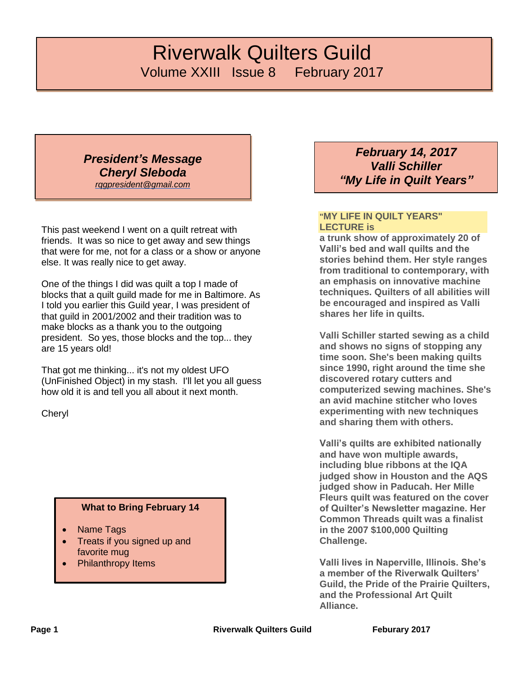# *Riverwalk Quilters Guild* Volume XXIII Issue 8 February 2017

*President's Message Cheryl Sleboda [rqgpresident@gmail.com](mailto:rqgpresident@gmail.com)*

This past weekend I went on a quilt retreat with friends. It was so nice to get away and sew things that were for me, not for a class or a show or anyone else. It was really nice to get away.

One of the things I did was quilt a top I made of blocks that a quilt guild made for me in Baltimore. As I told you earlier this Guild year, I was president of that guild in 2001/2002 and their tradition was to make blocks as a thank you to the outgoing president. So yes, those blocks and the top... they are 15 years old!

That got me thinking... it's not my oldest UFO (UnFinished Object) in my stash. I'll let you all guess how old it is and tell you all about it next month.

Cheryl

#### **What to Bring February 14**

- Name Tags
- Treats if you signed up and favorite mug
- Philanthropy Items

*February 14, 2017 Valli Schiller "My Life in Quilt Years"*

#### **"MY LIFE IN QUILT YEARS" LECTURE is**

**a trunk show of approximately 20 of Valli's bed and wall quilts and the stories behind them. Her style ranges from traditional to contemporary, with an emphasis on innovative machine techniques. Quilters of all abilities will be encouraged and inspired as Valli shares her life in quilts.**

**Valli Schiller started sewing as a child and shows no signs of stopping any time soon. She's been making quilts since 1990, right around the time she discovered rotary cutters and computerized sewing machines. She's an avid machine stitcher who loves experimenting with new techniques and sharing them with others.**

**Valli's quilts are exhibited nationally and have won multiple awards, including blue ribbons at the IQA judged show in Houston and the AQS judged show in Paducah. Her Mille Fleurs quilt was featured on the cover of Quilter's Newsletter magazine. Her Common Threads quilt was a finalist in the 2007 \$100,000 Quilting Challenge.**

**Valli lives in Naperville, Illinois. She's a member of the Riverwalk Quilters' Guild, the Pride of the Prairie Quilters, and the Professional Art Quilt Alliance.**

**Page 1 Riverwalk Quilters Guild Feburary 2017**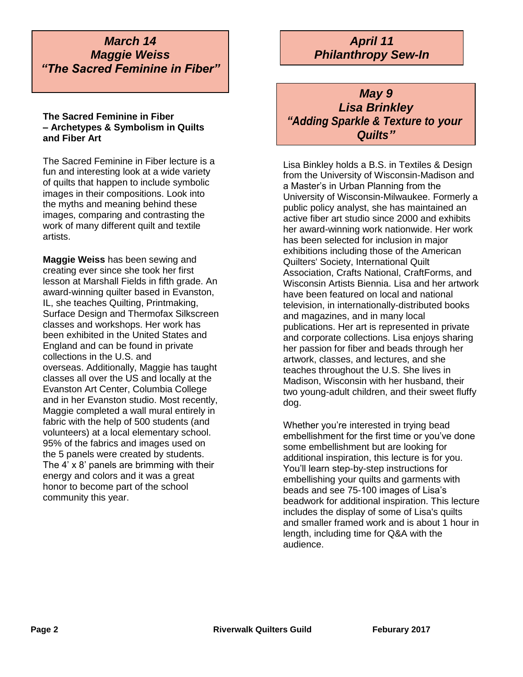*March 14 Maggie Weiss "The Sacred Feminine in Fiber"*

#### **The Sacred Feminine in Fiber – Archetypes & Symbolism in Quilts and Fiber Art**

The Sacred Feminine in Fiber lecture is a fun and interesting look at a wide variety of quilts that happen to include symbolic images in their compositions. Look into the myths and meaning behind these images, comparing and contrasting the work of many different quilt and textile artists.

**Maggie Weiss** has been sewing and creating ever since she took her first lesson at Marshall Fields in fifth grade. An award-winning quilter based in Evanston, IL, she teaches Quilting, Printmaking, Surface Design and Thermofax Silkscreen classes and workshops. Her work has been exhibited in the United States and England and can be found in private collections in the U.S. and overseas. Additionally, Maggie has taught classes all over the US and locally at the Evanston Art Center, Columbia College and in her Evanston studio. Most recently, Maggie completed a wall mural entirely in fabric with the help of 500 students (and volunteers) at a local elementary school. 95% of the fabrics and images used on the 5 panels were created by students. The 4' x 8' panels are brimming with their energy and colors and it was a great honor to become part of the school community this year.

# *April 11 Philanthropy Sew-In*

# *May 9 Lisa Brinkley "Adding Sparkle & Texture to your Quilts"*

Lisa Binkley holds a B.S. in Textiles & Design from the University of Wisconsin-Madison and a Master's in Urban Planning from the University of Wisconsin-Milwaukee. Formerly a public policy analyst, she has maintained an active fiber art studio since 2000 and exhibits her award-winning work nationwide. Her work has been selected for inclusion in major exhibitions including those of the American Quilters' Society, International Quilt Association, Crafts National, CraftForms, and Wisconsin Artists Biennia. Lisa and her artwork have been featured on local and national television, in internationally-distributed books and magazines, and in many local publications. Her art is represented in private and corporate collections. Lisa enjoys sharing her passion for fiber and beads through her artwork, classes, and lectures, and she teaches throughout the U.S. She lives in Madison, Wisconsin with her husband, their two young-adult children, and their sweet fluffy dog.

Whether you're interested in trying bead embellishment for the first time or you've done some embellishment but are looking for additional inspiration, this lecture is for you. You'll learn step-by-step instructions for embellishing your quilts and garments with beads and see 75-100 images of Lisa's beadwork for additional inspiration. This lecture includes the display of some of Lisa's quilts and smaller framed work and is about 1 hour in length, including time for Q&A with the audience.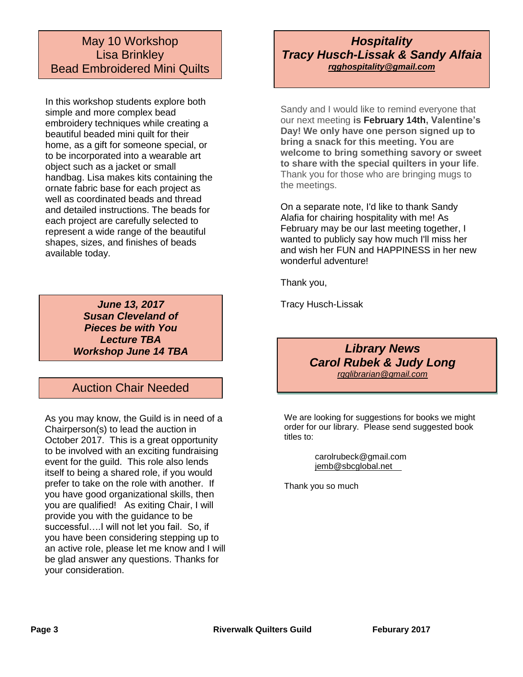### May 10 Workshop Lisa Brinkley Bead Embroidered Mini Quilts

In this workshop students explore both simple and more complex bead embroidery techniques while creating a beautiful beaded mini quilt for their home, as a gift for someone special, or to be incorporated into a wearable art object such as a jacket or small handbag. Lisa makes kits containing the ornate fabric base for each project as well as coordinated beads and thread and detailed instructions. The beads for each project are carefully selected to represent a wide range of the beautiful shapes, sizes, and finishes of beads available today.

> *June 13, 2017 Susan Cleveland of Pieces be with You Lecture TBA Workshop June 14 TBA*

### Auction Chair Needed

As you may know, the Guild is in need of a Chairperson(s) to lead the auction in October 2017. This is a great opportunity to be involved with an exciting fundraising event for the guild. This role also lends itself to being a shared role, if you would prefer to take on the role with another. If you have good organizational skills, then you are qualified! As exiting Chair, I will provide you with the guidance to be successful….I will not let you fail. So, if you have been considering stepping up to an active role, please let me know and I will be glad answer any questions. Thanks for your consideration.

### *Hospitality Tracy Husch-Lissak & Sandy Alfaia [rqghospitality@gmail.com](file:///C:/Users/Sandra/Documents/RQG%20Newsletter/rqghospitality@gmail.com)*

Sandy and I would like to remind everyone that our next meeting **is February 14th, Valentine's Day! We only have one person signed up to bring a snack for this meeting. You are welcome to bring something savory or sweet to share with the special quilters in your life**. Thank you for those who are bringing mugs to the meetings.

On a separate note, I'd like to thank Sandy Alafia for chairing hospitality with me! As February may be our last meeting together, I wanted to publicly say how much I'll miss her and wish her FUN and HAPPINESS in her new wonderful adventure!

Thank you,

Tracy Husch-Lissak

*Library News Carol Rubek & Judy Long [rqglibrarian@gmail.com](mailto:rqglibrarian@gmail.com)*

We are looking for suggestions for books we might order for our library. Please send suggested book titles to:

> carolrubeck@gmail.com [jemb@sbcglobal.net](mailto:jemb@sbcglobal.net)

Thank you so much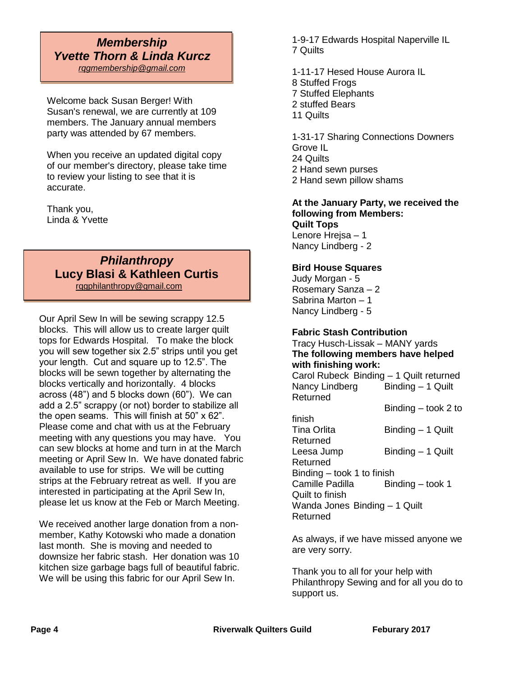# *Membership Yvette Thorn & Linda Kurcz*

*[rqgmembership@gmail.com](mailto:rqgmembership@gmail.com)*

Welcome back Susan Berger! With Susan's renewal, we are currently at 109 members. The January annual members party was attended by 67 members.

When you receive an updated digital copy of our member's directory, please take time to review your listing to see that it is accurate.

Thank you, Linda & Yvette

#### *Philanthropy* **Lucy Blasi & Kathleen Curtis** [rqgphilanthropy@gmail.com](mailto:rqgphilanthropy@gmail.com)

L

Our April Sew In will be sewing scrappy 12.5 blocks. This will allow us to create larger quilt tops for Edwards Hospital. To make the block you will sew together six 2.5" strips until you get your length. Cut and square up to 12.5". The blocks will be sewn together by alternating the blocks vertically and horizontally. 4 blocks across (48") and 5 blocks down (60"). We can add a 2.5" scrappy (or not) border to stabilize all the open seams. This will finish at 50" x 62". Please come and chat with us at the February meeting with any questions you may have. You can sew blocks at home and turn in at the March meeting or April Sew In. We have donated fabric available to use for strips. We will be cutting strips at the February retreat as well. If you are interested in participating at the April Sew In, please let us know at the Feb or March Meeting.

We received another large donation from a nonmember, Kathy Kotowski who made a donation last month. She is moving and needed to downsize her fabric stash. Her donation was 10 kitchen size garbage bags full of beautiful fabric. We will be using this fabric for our April Sew In.

1-9-17 Edwards Hospital Naperville IL 7 Quilts

1-11-17 Hesed House Aurora IL

- 8 Stuffed Frogs
- 7 Stuffed Elephants
- 2 stuffed Bears
- 11 Quilts

1-31-17 Sharing Connections Downers Grove IL 24 Quilts 2 Hand sewn purses 2 Hand sewn pillow shams

#### **At the January Party, we received the following from Members: Quilt Tops**

Lenore Hrejsa – 1 Nancy Lindberg - 2

#### **Bird House Squares**

Judy Morgan - 5 Rosemary Sanza – 2 Sabrina Marton – 1 Nancy Lindberg - 5

#### **Fabric Stash Contribution**

Tracy Husch-Lissak – MANY yards **The following members have helped with finishing work:**  Carol Rubeck Binding – 1 Quilt returned Nancy Lindberg Binding - 1 Quilt

Returned Binding – took 2 to

| finish                        |                   |  |
|-------------------------------|-------------------|--|
| Tina Orlita                   | Binding - 1 Quilt |  |
| Returned                      |                   |  |
| Leesa Jump                    | Binding - 1 Quilt |  |
| Returned                      |                   |  |
| Binding – took 1 to finish    |                   |  |
| Camille Padilla               | Binding - took 1  |  |
| Quilt to finish               |                   |  |
| Wanda Jones Binding - 1 Quilt |                   |  |
| Returned                      |                   |  |
|                               |                   |  |

As always, if we have missed anyone we are very sorry.

Thank you to all for your help with Philanthropy Sewing and for all you do to support us.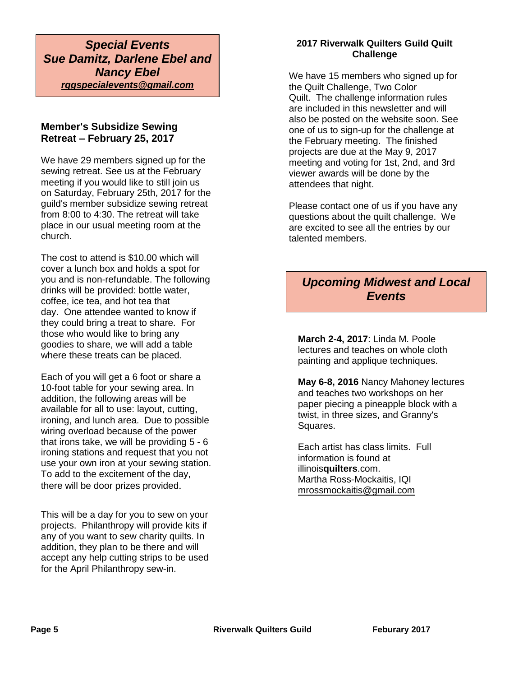*Special Events Sue Damitz, Darlene Ebel and Nancy Ebel rqgspecialevents@gmail.com*

#### **Member's Subsidize Sewing Retreat – February 25, 2017**

We have 29 members signed up for the sewing retreat. See us at the February meeting if you would like to still join us on Saturday, February 25th, 2017 for the guild's member subsidize sewing retreat from 8:00 to 4:30. The retreat will take place in our usual meeting room at the church.

The cost to attend is \$10.00 which will cover a lunch box and holds a spot for you and is non-refundable. The following drinks will be provided: bottle water, coffee, ice tea, and hot tea that day. One attendee wanted to know if they could bring a treat to share. For those who would like to bring any goodies to share, we will add a table where these treats can be placed.

Each of you will get a 6 foot or share a 10-foot table for your sewing area. In addition, the following areas will be available for all to use: layout, cutting, ironing, and lunch area. Due to possible wiring overload because of the power that irons take, we will be providing 5 - 6 ironing stations and request that you not use your own iron at your sewing station. To add to the excitement of the day, there will be door prizes provided.

This will be a day for you to sew on your projects. Philanthropy will provide kits if any of you want to sew charity quilts. In addition, they plan to be there and will accept any help cutting strips to be used for the April Philanthropy sew-in.

#### **2017 Riverwalk Quilters Guild Quilt Challenge**

We have 15 members who signed up for the Quilt Challenge, Two Color Quilt. The challenge information rules are included in this newsletter and will also be posted on the website soon. See one of us to sign-up for the challenge at the February meeting. The finished projects are due at the May 9, 2017 meeting and voting for 1st, 2nd, and 3rd viewer awards will be done by the attendees that night.

Please contact one of us if you have any questions about the quilt challenge. We are excited to see all the entries by our talented members.

# *Upcoming Midwest and Local Events*

**March 2-4, 2017**: Linda M. Poole lectures and teaches on whole cloth painting and applique techniques.

**May 6-8, 2016** Nancy Mahoney lectures and teaches two workshops on her paper piecing a pineapple block with a twist, in three sizes, and Granny's Squares.

Each artist has class limits. Full information is found at illinois**quilters**.com. Martha Ross-Mockaitis, IQI [mrossmockaitis@gmail.com](mailto:mrossmockaitis@gmail.com)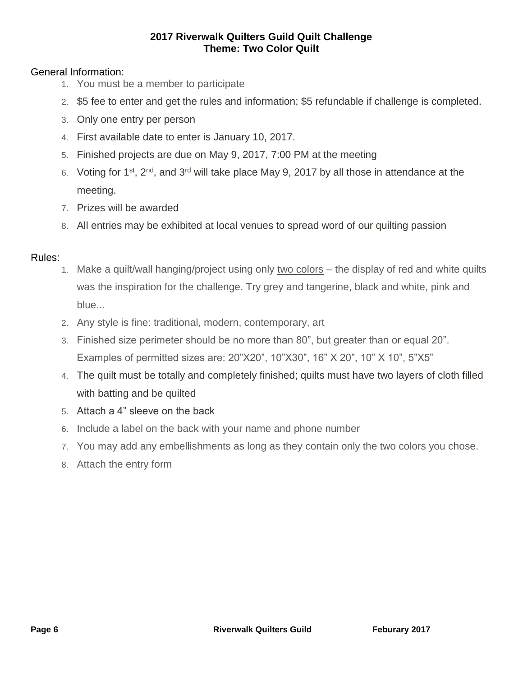#### **2017 Riverwalk Quilters Guild Quilt Challenge Theme: Two Color Quilt**

### General Information:

- 1. You must be a member to participate
- 2. \$5 fee to enter and get the rules and information; \$5 refundable if challenge is completed.
- 3. Only one entry per person
- 4. First available date to enter is January 10, 2017.
- 5. Finished projects are due on May 9, 2017, 7:00 PM at the meeting
- 6. Voting for 1<sup>st</sup>, 2<sup>nd</sup>, and 3<sup>rd</sup> will take place May 9, 2017 by all those in attendance at the meeting.
- 7. Prizes will be awarded
- 8. All entries may be exhibited at local venues to spread word of our quilting passion

#### Rules:

- 1. Make a quilt/wall hanging/project using only two colors the display of red and white quilts was the inspiration for the challenge. Try grey and tangerine, black and white, pink and blue...
- 2. Any style is fine: traditional, modern, contemporary, art
- 3. Finished size perimeter should be no more than 80", but greater than or equal 20". Examples of permitted sizes are: 20"X20", 10"X30", 16" X 20", 10" X 10", 5"X5"
- 4. The quilt must be totally and completely finished; quilts must have two layers of cloth filled with batting and be quilted
- 5. Attach a 4" sleeve on the back
- 6. Include a label on the back with your name and phone number
- 7. You may add any embellishments as long as they contain only the two colors you chose.
- 8. Attach the entry form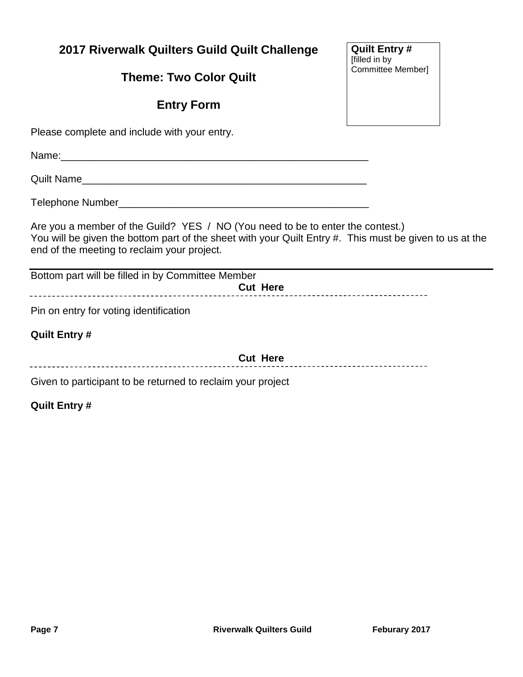# **2017 Riverwalk Quilters Guild Quilt Challenge**

**Theme: Two Color Quilt**

# **Entry Form**

Please complete and include with your entry.

Name: 2008. 2008. 2008. 2008. 2008. 2009. 2010. 2010. 2010. 2010. 2010. 2010. 2010. 2010. 2010. 2010. 2010. 20

Quilt Name\_\_\_\_\_\_\_\_\_\_\_\_\_\_\_\_\_\_\_\_\_\_\_\_\_\_\_\_\_\_\_\_\_\_\_\_\_\_\_\_\_\_\_\_\_\_\_\_\_\_

Telephone Number\_\_\_\_\_\_\_\_\_\_\_\_\_\_\_\_\_\_\_\_\_\_\_\_\_\_\_\_\_\_\_\_\_\_\_\_\_\_\_\_\_\_\_\_

Are you a member of the Guild? YES / NO (You need to be to enter the contest.) You will be given the bottom part of the sheet with your Quilt Entry #. This must be given to us at the end of the meeting to reclaim your project.

Bottom part will be filled in by Committee Member **Cut Here** 

Pin on entry for voting identification

#### **Quilt Entry #**

**Cut Here**

Given to participant to be returned to reclaim your project

**Quilt Entry #**

**Quilt Entry #** [filled in by Committee Member]